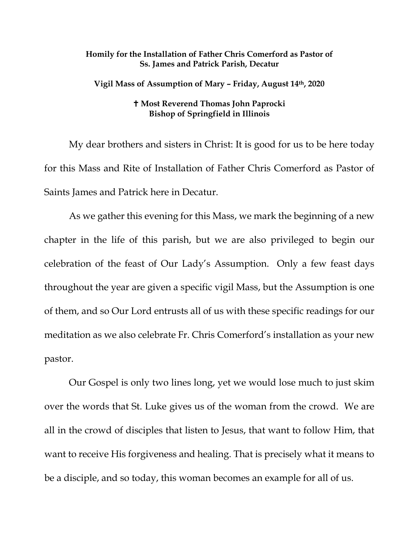## **Homily for the Installation of Father Chris Comerford as Pastor of Ss. James and Patrick Parish, Decatur**

**Vigil Mass of Assumption of Mary – Friday, August 14th, 2020**

## **Most Reverend Thomas John Paprocki Bishop of Springfield in Illinois**

My dear brothers and sisters in Christ: It is good for us to be here today for this Mass and Rite of Installation of Father Chris Comerford as Pastor of Saints James and Patrick here in Decatur.

As we gather this evening for this Mass, we mark the beginning of a new chapter in the life of this parish, but we are also privileged to begin our celebration of the feast of Our Lady's Assumption. Only a few feast days throughout the year are given a specific vigil Mass, but the Assumption is one of them, and so Our Lord entrusts all of us with these specific readings for our meditation as we also celebrate Fr. Chris Comerford's installation as your new pastor.

Our Gospel is only two lines long, yet we would lose much to just skim over the words that St. Luke gives us of the woman from the crowd. We are all in the crowd of disciples that listen to Jesus, that want to follow Him, that want to receive His forgiveness and healing. That is precisely what it means to be a disciple, and so today, this woman becomes an example for all of us.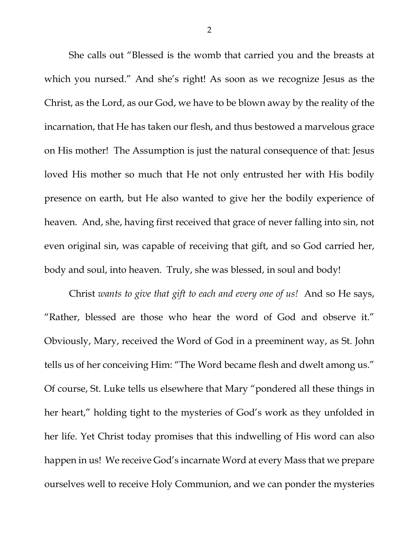She calls out "Blessed is the womb that carried you and the breasts at which you nursed." And she's right! As soon as we recognize Jesus as the Christ, as the Lord, as our God, we have to be blown away by the reality of the incarnation, that He has taken our flesh, and thus bestowed a marvelous grace on His mother! The Assumption is just the natural consequence of that: Jesus loved His mother so much that He not only entrusted her with His bodily presence on earth, but He also wanted to give her the bodily experience of heaven. And, she, having first received that grace of never falling into sin, not even original sin, was capable of receiving that gift, and so God carried her, body and soul, into heaven. Truly, she was blessed, in soul and body!

Christ *wants to give that gift to each and every one of us!* And so He says, "Rather, blessed are those who hear the word of God and observe it." Obviously, Mary, received the Word of God in a preeminent way, as St. John tells us of her conceiving Him: "The Word became flesh and dwelt among us." Of course, St. Luke tells us elsewhere that Mary "pondered all these things in her heart," holding tight to the mysteries of God's work as they unfolded in her life. Yet Christ today promises that this indwelling of His word can also happen in us! We receive God's incarnate Word at every Mass that we prepare ourselves well to receive Holy Communion, and we can ponder the mysteries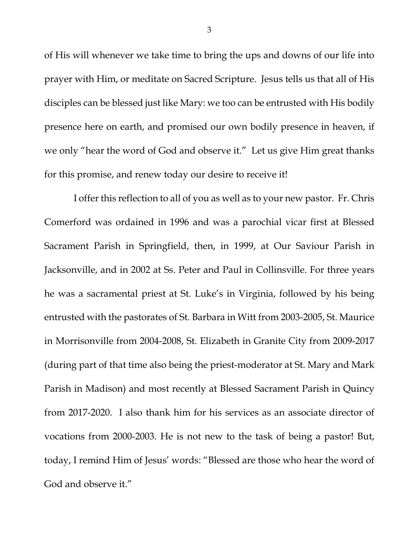of His will whenever we take time to bring the ups and downs of our life into prayer with Him, or meditate on Sacred Scripture. Jesus tells us that all of His disciples can be blessed just like Mary: we too can be entrusted with His bodily presence here on earth, and promised our own bodily presence in heaven, if we only "hear the word of God and observe it." Let us give Him great thanks for this promise, and renew today our desire to receive it!

 I offer this reflection to all of you as well as to your new pastor. Fr. Chris Comerford was ordained in 1996 and was a parochial vicar first at Blessed Sacrament Parish in Springfield, then, in 1999, at Our Saviour Parish in Jacksonville, and in 2002 at Ss. Peter and Paul in Collinsville. For three years he was a sacramental priest at St. Luke's in Virginia, followed by his being entrusted with the pastorates of St. Barbara in Witt from 2003-2005, St. Maurice in Morrisonville from 2004-2008, St. Elizabeth in Granite City from 2009-2017 (during part of that time also being the priest-moderator at St. Mary and Mark Parish in Madison) and most recently at Blessed Sacrament Parish in Quincy from 2017-2020. I also thank him for his services as an associate director of vocations from 2000-2003. He is not new to the task of being a pastor! But, today, I remind Him of Jesus' words: "Blessed are those who hear the word of God and observe it."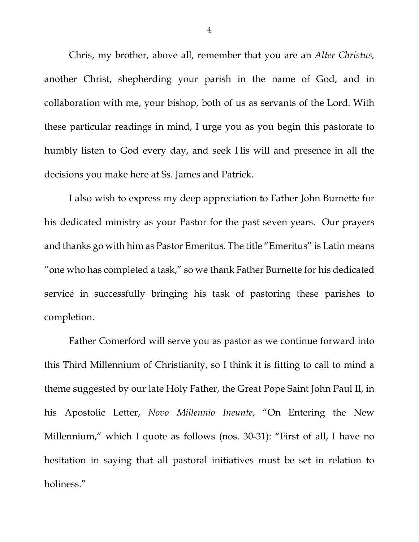Chris, my brother, above all, remember that you are an *Alter Christus,* another Christ, shepherding your parish in the name of God, and in collaboration with me, your bishop, both of us as servants of the Lord. With these particular readings in mind, I urge you as you begin this pastorate to humbly listen to God every day, and seek His will and presence in all the decisions you make here at Ss. James and Patrick.

I also wish to express my deep appreciation to Father John Burnette for his dedicated ministry as your Pastor for the past seven years. Our prayers and thanks go with him as Pastor Emeritus. The title "Emeritus" is Latin means "one who has completed a task," so we thank Father Burnette for his dedicated service in successfully bringing his task of pastoring these parishes to completion.

Father Comerford will serve you as pastor as we continue forward into this Third Millennium of Christianity, so I think it is fitting to call to mind a theme suggested by our late Holy Father, the Great Pope Saint John Paul II, in his Apostolic Letter, *Novo Millennio Ineunte*, "On Entering the New Millennium," which I quote as follows (nos. 30-31): "First of all, I have no hesitation in saying that all pastoral initiatives must be set in relation to holiness."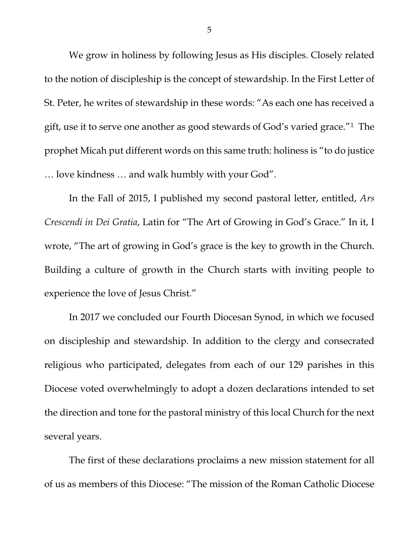We grow in holiness by following Jesus as His disciples. Closely related to the notion of discipleship is the concept of stewardship. In the First Letter of St. Peter, he writes of stewardship in these words: "As each one has received a gift, use it to serve one another as good stewards of God's varied grace."[1](#page-7-0) The prophet Micah put different words on this same truth: holiness is "to do justice … love kindness … and walk humbly with your God".

In the Fall of 2015, I published my second pastoral letter, entitled, *Ars Crescendi in Dei Gratia*, Latin for "The Art of Growing in God's Grace." In it, I wrote, "The art of growing in God's grace is the key to growth in the Church. Building a culture of growth in the Church starts with inviting people to experience the love of Jesus Christ."

In 2017 we concluded our Fourth Diocesan Synod, in which we focused on discipleship and stewardship. In addition to the clergy and consecrated religious who participated, delegates from each of our 129 parishes in this Diocese voted overwhelmingly to adopt a dozen declarations intended to set the direction and tone for the pastoral ministry of this local Church for the next several years.

The first of these declarations proclaims a new mission statement for all of us as members of this Diocese: "The mission of the Roman Catholic Diocese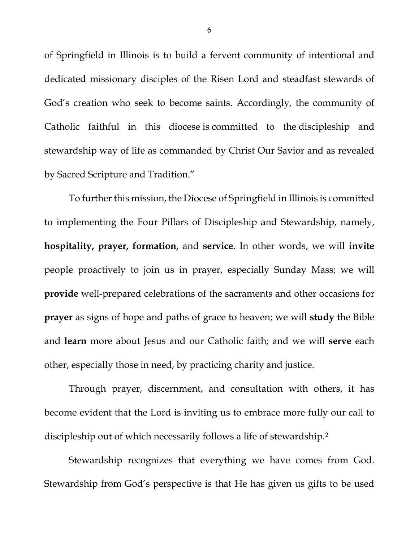of Springfield in Illinois is to build a fervent community of intentional and dedicated missionary disciples of the Risen Lord and steadfast stewards of God's creation who seek to become saints. Accordingly, the community of Catholic faithful in this diocese is committed to the discipleship and stewardship way of life as commanded by Christ Our Savior and as revealed by Sacred Scripture and Tradition."

To further this mission, the Diocese of Springfield in Illinois is committed to implementing the Four Pillars of Discipleship and Stewardship, namely, **hospitality, prayer, formation,** and **service**. In other words, we will **invite** people proactively to join us in prayer, especially Sunday Mass; we will **provide** well-prepared celebrations of the sacraments and other occasions for **prayer** as signs of hope and paths of grace to heaven; we will **study** the Bible and **learn** more about Jesus and our Catholic faith; and we will **serve** each other, especially those in need, by practicing charity and justice.

Through prayer, discernment, and consultation with others, it has become evident that the Lord is inviting us to embrace more fully our call to discipleship out of which necessarily follows a life of stewardship.<sup>2</sup>

Stewardship recognizes that everything we have comes from God. Stewardship from God's perspective is that He has given us gifts to be used

6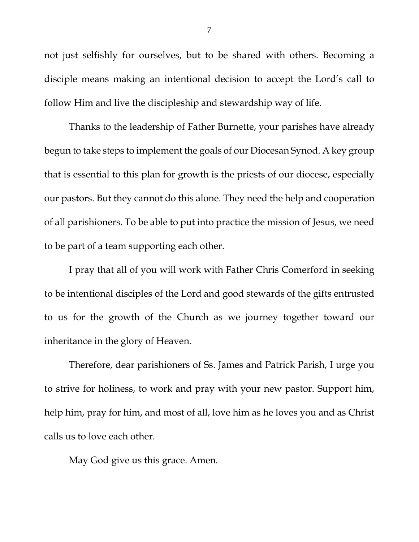not just selfishly for ourselves, but to be shared with others. Becoming a disciple means making an intentional decision to accept the Lord's call to follow Him and live the discipleship and stewardship way of life.

Thanks to the leadership of Father Burnette, your parishes have already begun to take steps to implement the goals of our Diocesan Synod. A key group that is essential to this plan for growth is the priests of our diocese, especially our pastors. But they cannot do this alone. They need the help and cooperation of all parishioners. To be able to put into practice the mission of Jesus, we need to be part of a team supporting each other.

I pray that all of you will work with Father Chris Comerford in seeking to be intentional disciples of the Lord and good stewards of the gifts entrusted to us for the growth of the Church as we journey together toward our inheritance in the glory of Heaven.

Therefore, dear parishioners of Ss. James and Patrick Parish, I urge you to strive for holiness, to work and pray with your new pastor. Support him, help him, pray for him, and most of all, love him as he loves you and as Christ calls us to love each other.

May God give us this grace. Amen.